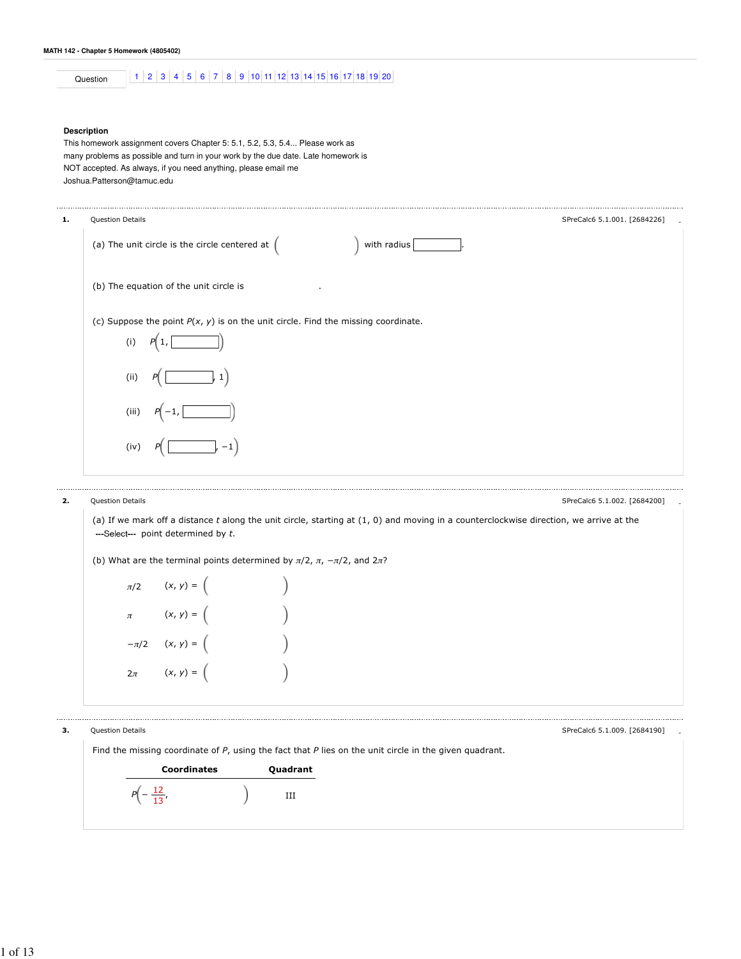# Question 1 2 3 4 5 6 7 8 9 10 11 12 13 14 15 16 17 18 19 20

### **Description**

This homework assignment covers Chapter 5: 5.1, 5.2, 5.3, 5.4... Please work as many problems as possible and turn in your work by the due date. Late homework is NOT accepted. As always, if you need anything, please email me Joshua.Patterson@tamuc.edu

| 1. | Question Details                                                                    | SPreCalc6 5.1.001. [2684226] |
|----|-------------------------------------------------------------------------------------|------------------------------|
|    | (a) The unit circle is the circle centered at $($<br>with radius                    |                              |
|    | (b) The equation of the unit circle is<br>$\cdot$                                   |                              |
|    | (c) Suppose the point $P(x, y)$ is on the unit circle. Find the missing coordinate. |                              |
|    | (i)                                                                                 |                              |
|    | (i)<br>1<br>P                                                                       |                              |
|    | (iii)                                                                               |                              |
|    | (iv)<br>$-1$                                                                        |                              |
|    |                                                                                     |                              |

### 2. Question Details and the set of the set of the set of the set of the set of the SPreCalc6 5.1.002. [2684200]

(a) If we mark off a distance  $t$  along the unit circle, starting at  $(1, 0)$  and moving in a counterclockwise direction, we arrive at the ---Select--- point determined by  $t$ .

(b) What are the terminal points determined by  $\pi/2$ ,  $\pi$ ,  $-\pi/2$ , and  $2\pi$ ?

| $\pi/2$  | $(x, y) = ($ |                  |
|----------|--------------|------------------|
| $\pi$    | $(x, y) = ($ | $\big)$          |
| $-\pi/2$ | $(x, y) = ($ | $\left( \right)$ |
| $2\pi$   | $(x, y) = ($ |                  |

3. Question Details

SPreCalc6 5.1.009. [2684190]

-

Find the missing coordinate of  $P$ , using the fact that  $P$  lies on the unit circle in the given quadrant.

| <b>Coordinates</b> | Quadrant |
|--------------------|----------|
| $\sqrt{2}$         |          |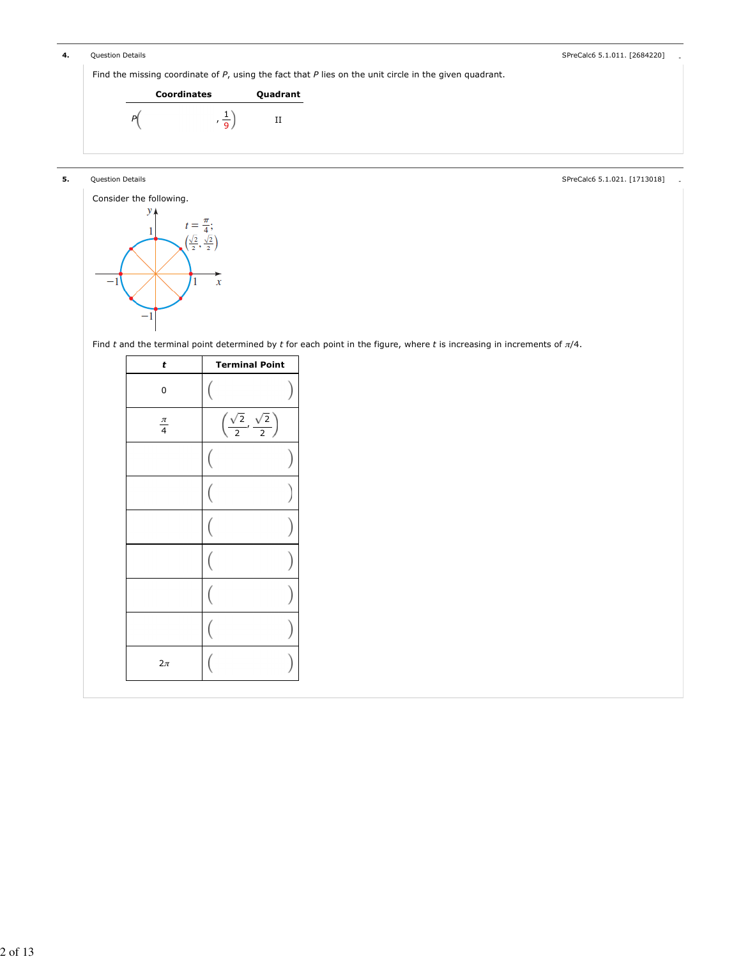| 4. | Question Details |                                                                                                             |             |
|----|------------------|-------------------------------------------------------------------------------------------------------------|-------------|
|    |                  | Find the missing coordinate of $P$ , using the fact that $P$ lies on the unit circle in the given quadrant. |             |
|    |                  | <b>Coordinates</b>                                                                                          | Quadrant    |
|    |                  |                                                                                                             | $_{\rm II}$ |
|    |                  |                                                                                                             |             |

## **5.** Question Details **Details** - Special Control of the set of the set of the set of the set of the set of the set of the set of the set of the set of the set of the set of the set of the set of the set of the set of the



Find t and the terminal point determined by t for each point in the figure, where t is increasing in increments of  $\pi/4$ .

| t             | <b>Terminal Point</b>                                |
|---------------|------------------------------------------------------|
| 0             |                                                      |
| $rac{\pi}{4}$ | $\left(\frac{\sqrt{2}}{2},\frac{\sqrt{2}}{2}\right)$ |
|               |                                                      |
|               |                                                      |
|               |                                                      |
|               |                                                      |
|               |                                                      |
|               |                                                      |
| $2\pi$        |                                                      |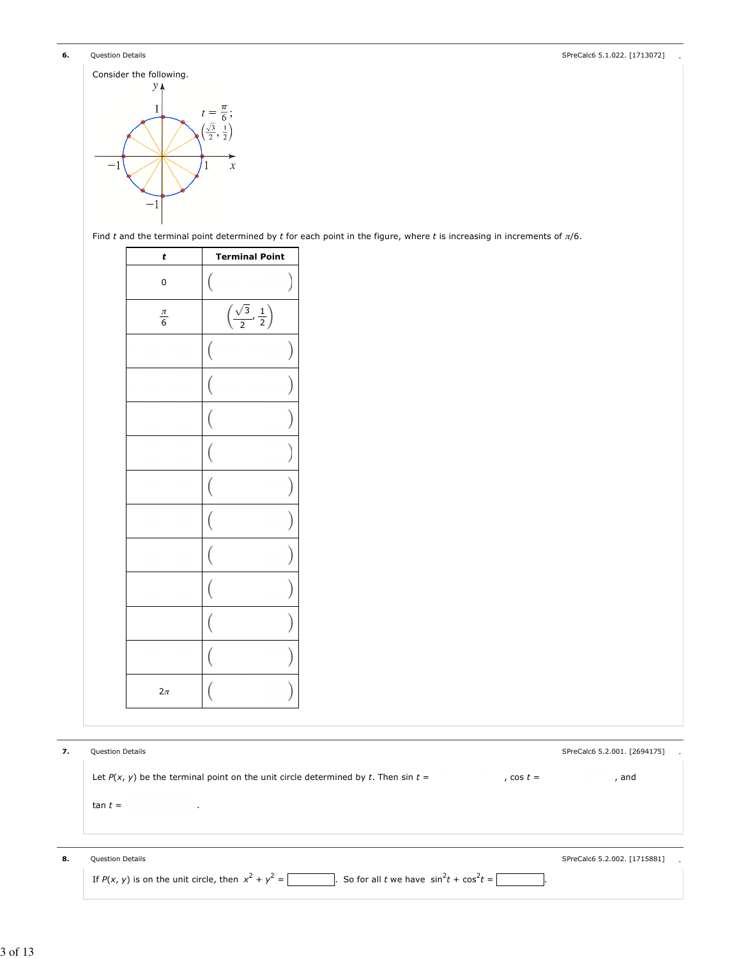**6.** Question Details **Details** - Special Control of the State of the State of the State of the State of the State of the State of the State of the State of the State of the State of the State of the State of the State of



Find t and the terminal point determined by t for each point in the figure, where t is increasing in increments of  $\pi/6$ .

| t               | <b>Terminal Point</b>                         |
|-----------------|-----------------------------------------------|
| $\mathbf 0$     |                                               |
| $\frac{\pi}{6}$ | $\left(\frac{\sqrt{3}}{2},\frac{1}{2}\right)$ |
|                 | (                                             |
|                 |                                               |
|                 |                                               |
|                 |                                               |
|                 |                                               |
|                 |                                               |
|                 |                                               |
|                 |                                               |
|                 |                                               |
|                 |                                               |
| $2\pi$          |                                               |

| 7. | <b>Question Details</b>                                                                                                                                                                                                                                                                                                                                                                             | SPreCalc6 5.2.001. [2694175] |
|----|-----------------------------------------------------------------------------------------------------------------------------------------------------------------------------------------------------------------------------------------------------------------------------------------------------------------------------------------------------------------------------------------------------|------------------------------|
|    | Let $P(x, y)$ be the terminal point on the unit circle determined by t. Then sin $t =$<br>, cos $t =$                                                                                                                                                                                                                                                                                               | and                          |
|    | $tan t =$<br>$\cdot$                                                                                                                                                                                                                                                                                                                                                                                |                              |
|    |                                                                                                                                                                                                                                                                                                                                                                                                     |                              |
|    |                                                                                                                                                                                                                                                                                                                                                                                                     |                              |
| 8. | <b>Question Details</b>                                                                                                                                                                                                                                                                                                                                                                             | SPreCalc6 5.2.002. [1715881] |
|    | . So for all t we have $\sin^2 t + \cos^2 t =$<br>If $P(x, y)$ is on the unit circle, then $x^2 + y^2 = \left[ \frac{1}{x} + \frac{1}{x^2} + \frac{1}{x^2} + \frac{1}{x^2} + \frac{1}{x^2} + \frac{1}{x^2} + \frac{1}{x^2} + \frac{1}{x^2} + \frac{1}{x^2} + \frac{1}{x^2} + \frac{1}{x^2} + \frac{1}{x^2} + \frac{1}{x^2} + \frac{1}{x^2} + \frac{1}{x^2} + \frac{1}{x^2} + \frac{1}{x^2} + \frac$ |                              |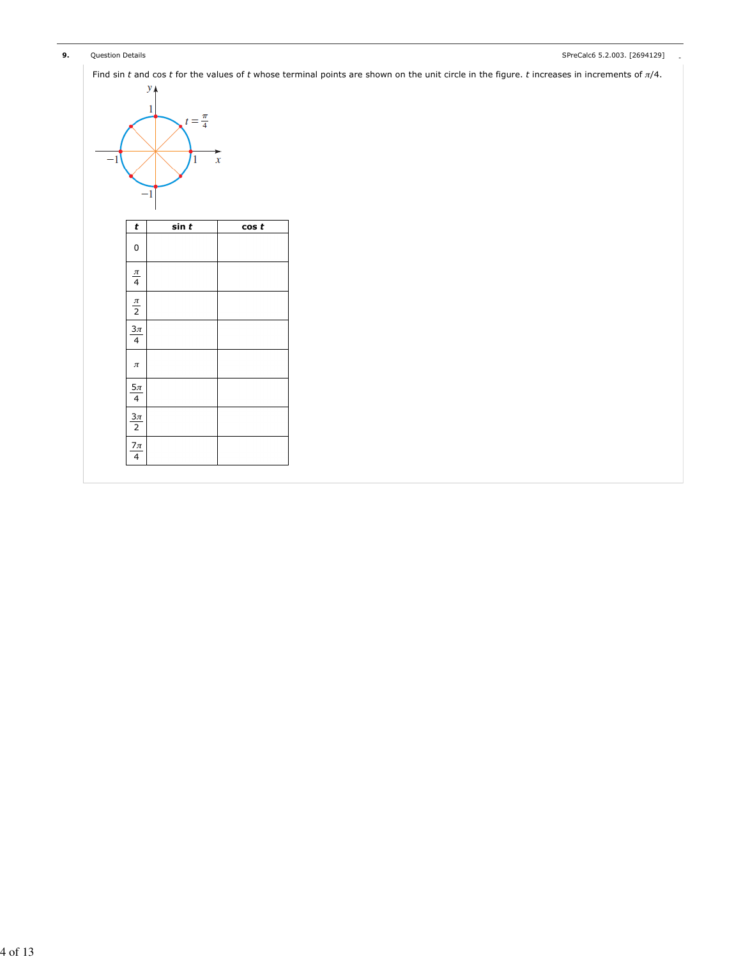| 9. | Question Details |       |                                  |          | SPreCalc6 5.2.003. [2694129]                                                                                                                      |
|----|------------------|-------|----------------------------------|----------|---------------------------------------------------------------------------------------------------------------------------------------------------|
|    |                  |       |                                  |          | Find sin t and cos t for the values of t whose terminal points are shown on the unit circle in the figure. t increases in increments of $\pi/4$ . |
|    |                  | $y_A$ |                                  |          |                                                                                                                                                   |
|    |                  | 1     | $t=\frac{\pi}{4}$                |          |                                                                                                                                                   |
|    |                  |       |                                  |          |                                                                                                                                                   |
|    | $^{-1}$          |       | $\mathbf{1}$<br>$\boldsymbol{x}$ |          |                                                                                                                                                   |
|    |                  |       |                                  |          |                                                                                                                                                   |
|    |                  | $-1$  |                                  |          |                                                                                                                                                   |
|    |                  |       |                                  |          |                                                                                                                                                   |
|    | t                |       | sin t                            | $\cos t$ |                                                                                                                                                   |
|    | $\mathbf 0$      |       |                                  |          |                                                                                                                                                   |
|    |                  |       |                                  |          |                                                                                                                                                   |
|    | $\frac{\pi}{4}$  |       |                                  |          |                                                                                                                                                   |
|    | $\frac{\pi}{2}$  |       |                                  |          |                                                                                                                                                   |
|    | $3\pi$           |       |                                  |          |                                                                                                                                                   |
|    | $\overline{4}$   |       |                                  |          |                                                                                                                                                   |
|    | $\pi$            |       |                                  |          |                                                                                                                                                   |
|    | $5\pi$           |       |                                  |          |                                                                                                                                                   |
|    | $\overline{4}$   |       |                                  |          |                                                                                                                                                   |
|    | $\frac{3\pi}{2}$ |       |                                  |          |                                                                                                                                                   |
|    |                  |       |                                  |          |                                                                                                                                                   |
|    | $\frac{7\pi}{4}$ |       |                                  |          |                                                                                                                                                   |
|    |                  |       |                                  |          |                                                                                                                                                   |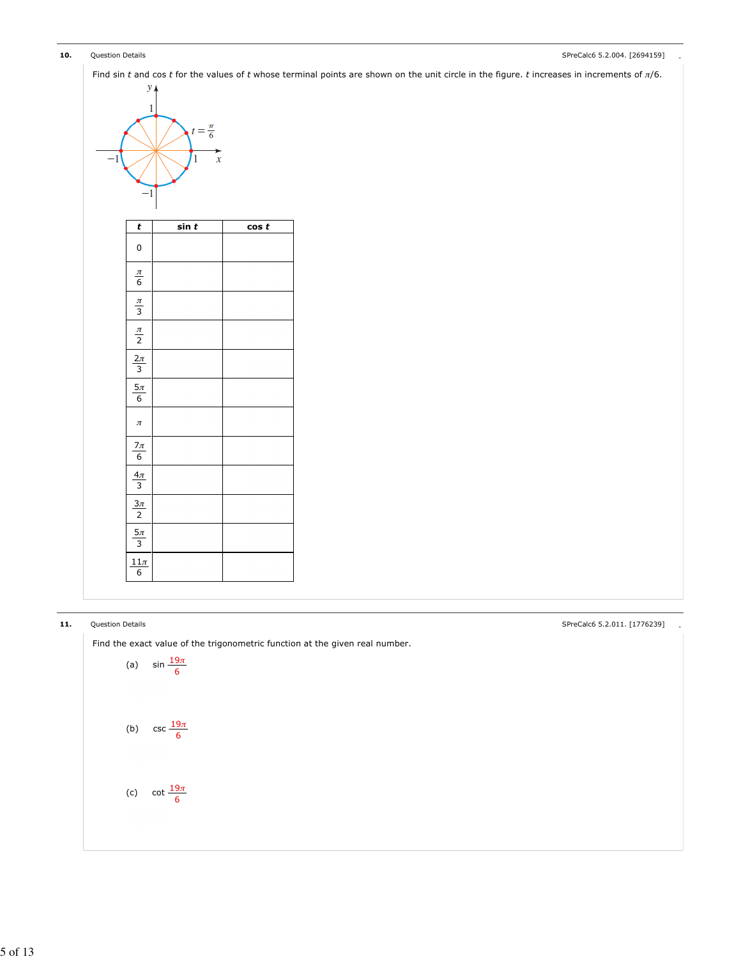| 10. | Question Detai |  |
|-----|----------------|--|
|     |                |  |

### 10. Question Details **Alternative Contract Contract Contract Contract Contract Contract Contract Contract Contract Contract Contract Contract Contract Contract Contract Contract Contract Contract Contract Contract Contract**

| $\mathbf{1}$              |                                          |           |  |
|---------------------------|------------------------------------------|-----------|--|
| -1                        | $t=\frac{\pi}{6}$<br>$\overline{x}$<br>1 |           |  |
| $-1$<br>$\pmb{t}$         | sin t                                    | $\cos\,t$ |  |
| $\mathbf 0$               |                                          |           |  |
| $\frac{\pi}{6}$           |                                          |           |  |
| $\frac{\pi}{3}$           |                                          |           |  |
| $\frac{\pi}{2}$           |                                          |           |  |
| $\frac{2\pi}{3}$          |                                          |           |  |
| $5\pi$<br>$6\overline{6}$ |                                          |           |  |
| $\pi$                     |                                          |           |  |
| $\frac{7\pi}{6}$          |                                          |           |  |
| $\frac{4\pi}{3}$          |                                          |           |  |
| $\frac{3\pi}{2}$          |                                          |           |  |
| $\frac{5\pi}{3}$          |                                          |           |  |
| $11\pi$<br>6              |                                          |           |  |

## 11. Question Details - SPreCalc6 5.2.011. [1776239]

Find the exact value of the trigonometric function at the given real number.

(a) 
$$
\sin \frac{19\pi}{6}
$$
  
(b)  $\csc \frac{19\pi}{6}$   
(c)  $\cot \frac{19\pi}{6}$ 

5 of 13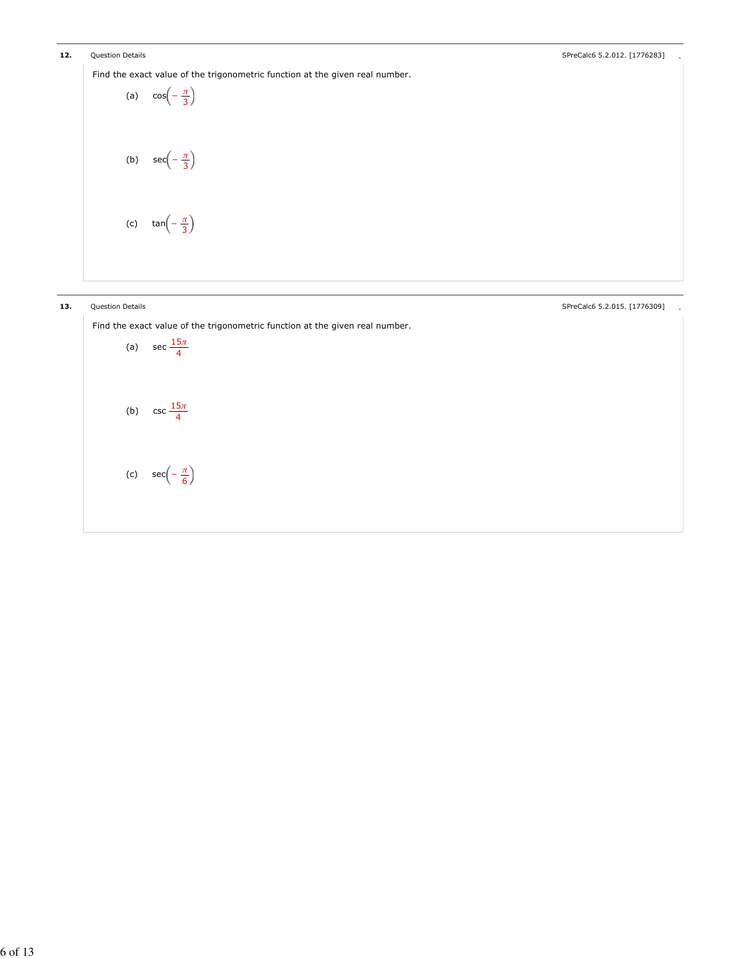12. Question Details **Alternative Contract Contract Contract Contract Contract Contract Contract Contract Contract Contract Contract Contract Contract Contract Contract Contract Contract Contract Contract Contract Contract** 

Find the exact value of the trigonometric function at the given real number.

```
(a) \cos\left(-\frac{\pi}{2}\right)(b) sec(-\frac{\pi}{2})(c) \tan(-\frac{\pi}{2})3
            3
            3
```
13. Question Details **Alternative Contract Contract Contract Contract Contract Contract Contract Contract Contract Contract Contract Contract Contract Contract Contract Contract Contract Contract Contract Contract Contract** 

Find the exact value of the trigonometric function at the given real number.

(a) sec  $\frac{15\pi}{4}$ (b)  $\csc \frac{15\pi}{1}$ (c)  $sec(-\frac{\pi}{2})$ 4 4 6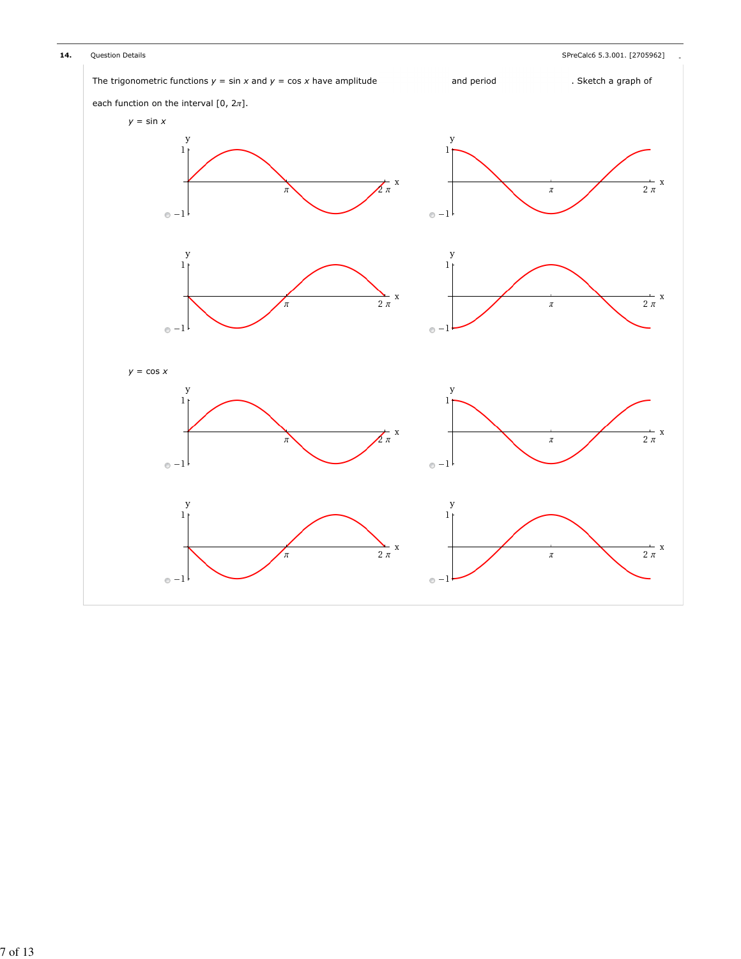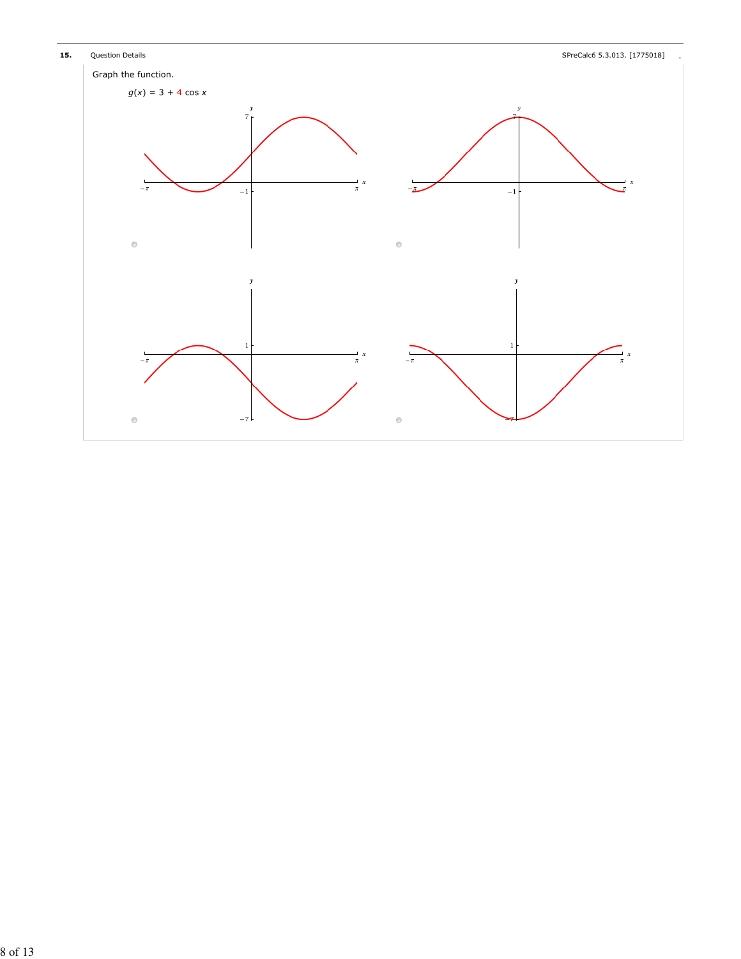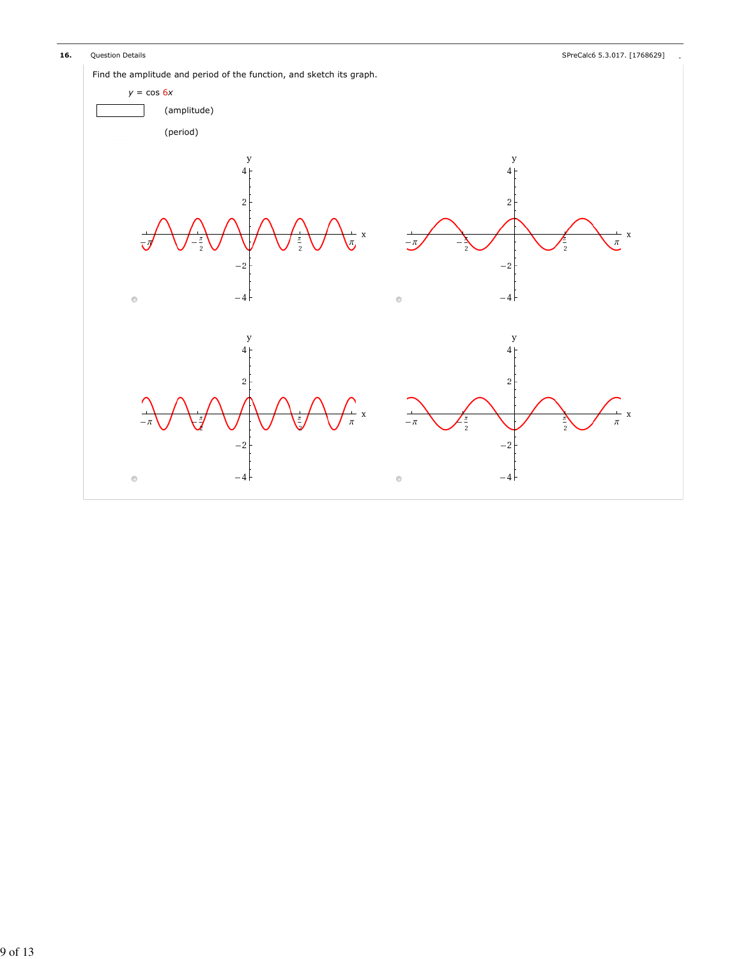16. Question Details **According to the Calcular Contract of the Calcul**ary of the SPreCalc6 5.3.017. [1768629]

Find the amplitude and period of the function, and sketch its graph.

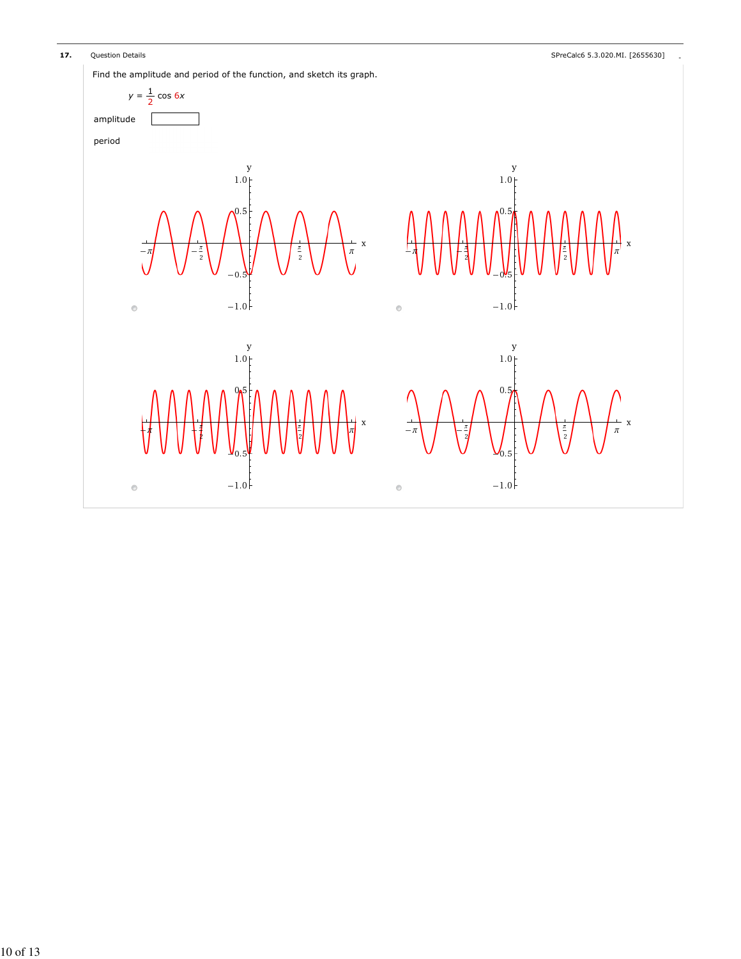

17. Question Details **Alternative Contract Contract Contract Contract Contract Contract Contract Contract Contract Contract Contract Contract Contract Contract Contract Contract Contract Contract Contract Contract Contract** 

Find the amplitude and period of the function, and sketch its graph.

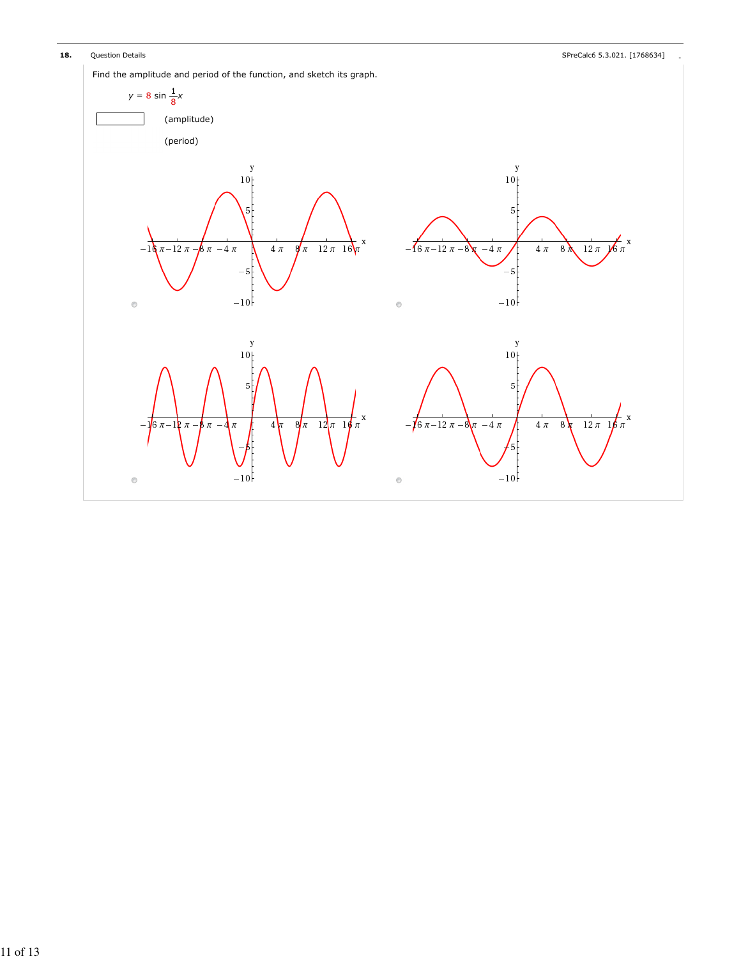18. Question Details **According to the Calcular Contract of the Calcul**ary of the SPreCalc6 5.3.021. [1768634]

Find the amplitude and period of the function, and sketch its graph.

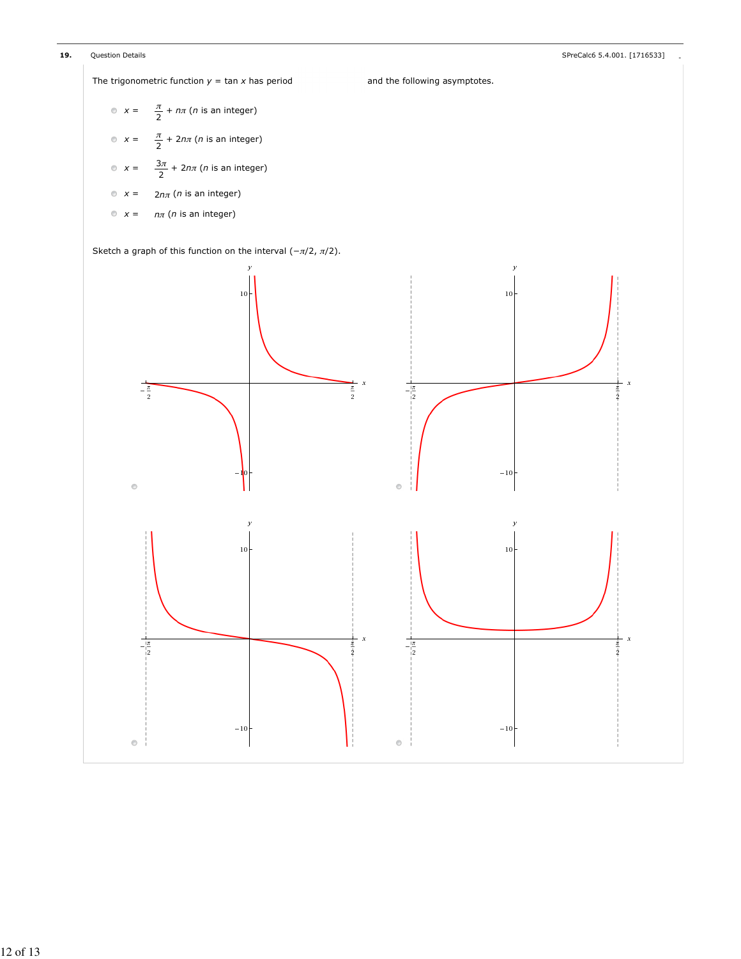

The trigonometric function  $y = \tan x$  has period and the following asymptotes.